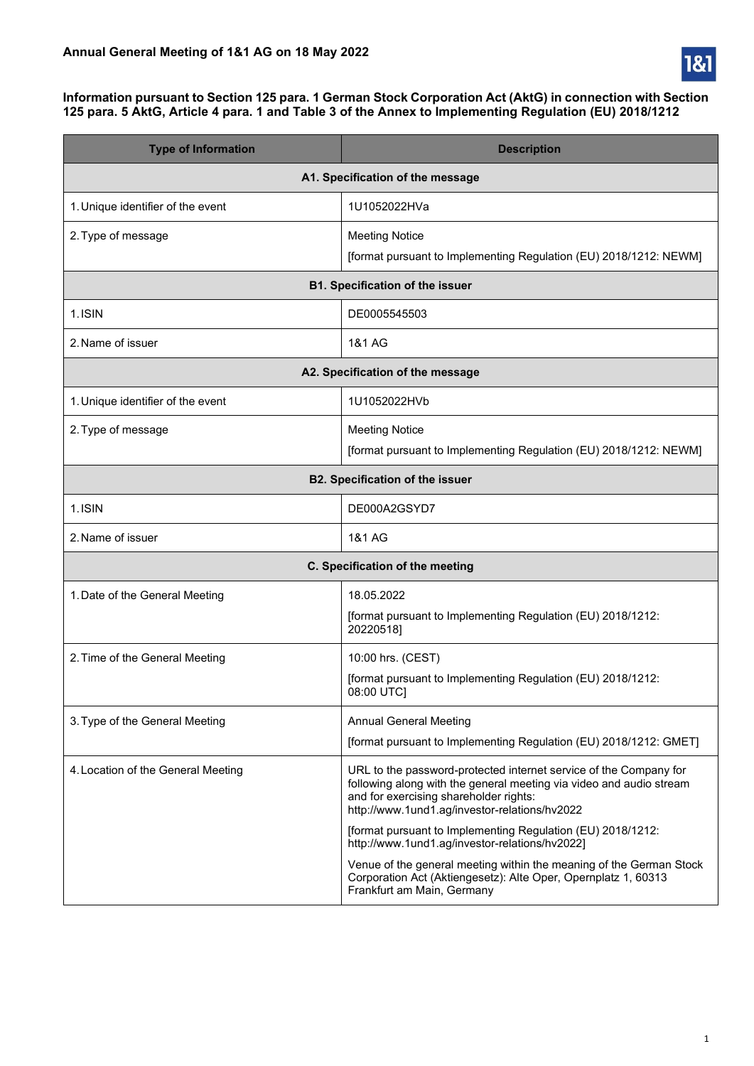

#### **Information pursuant to Section 125 para. 1 German Stock Corporation Act (AktG) in connection with Section 125 para. 5 AktG, Article 4 para. 1 and Table 3 of the Annex to Implementing Regulation (EU) 2018/1212**

| <b>Type of Information</b>             | <b>Description</b>                                                                                                                                                                                                                                                                                                                                   |  |
|----------------------------------------|------------------------------------------------------------------------------------------------------------------------------------------------------------------------------------------------------------------------------------------------------------------------------------------------------------------------------------------------------|--|
| A1. Specification of the message       |                                                                                                                                                                                                                                                                                                                                                      |  |
| 1. Unique identifier of the event      | 1U1052022HVa                                                                                                                                                                                                                                                                                                                                         |  |
| 2. Type of message                     | <b>Meeting Notice</b><br>[format pursuant to Implementing Regulation (EU) 2018/1212: NEWM]                                                                                                                                                                                                                                                           |  |
|                                        | <b>B1. Specification of the issuer</b>                                                                                                                                                                                                                                                                                                               |  |
| 1.ISIN                                 | DE0005545503                                                                                                                                                                                                                                                                                                                                         |  |
| 2. Name of issuer                      | 1&1 AG                                                                                                                                                                                                                                                                                                                                               |  |
|                                        | A2. Specification of the message                                                                                                                                                                                                                                                                                                                     |  |
| 1. Unique identifier of the event      | 1U1052022HVb                                                                                                                                                                                                                                                                                                                                         |  |
| 2. Type of message                     | <b>Meeting Notice</b><br>[format pursuant to Implementing Regulation (EU) 2018/1212: NEWM]                                                                                                                                                                                                                                                           |  |
| <b>B2. Specification of the issuer</b> |                                                                                                                                                                                                                                                                                                                                                      |  |
| 1.ISIN                                 | DE000A2GSYD7                                                                                                                                                                                                                                                                                                                                         |  |
| 2. Name of issuer                      | 1&1 AG                                                                                                                                                                                                                                                                                                                                               |  |
|                                        | C. Specification of the meeting                                                                                                                                                                                                                                                                                                                      |  |
| 1. Date of the General Meeting         | 18.05.2022<br>[format pursuant to Implementing Regulation (EU) 2018/1212:<br>20220518]                                                                                                                                                                                                                                                               |  |
| 2. Time of the General Meeting         | 10:00 hrs. (CEST)<br>[format pursuant to Implementing Regulation (EU) 2018/1212:<br>08:00 UTC]                                                                                                                                                                                                                                                       |  |
| 3. Type of the General Meeting         | <b>Annual General Meeting</b><br>[format pursuant to Implementing Regulation (EU) 2018/1212: GMET]                                                                                                                                                                                                                                                   |  |
| 4. Location of the General Meeting     | URL to the password-protected internet service of the Company for<br>following along with the general meeting via video and audio stream<br>and for exercising shareholder rights:<br>http://www.1und1.ag/investor-relations/hv2022<br>[format pursuant to Implementing Regulation (EU) 2018/1212:<br>http://www.1und1.ag/investor-relations/hv2022] |  |
|                                        | Venue of the general meeting within the meaning of the German Stock<br>Corporation Act (Aktiengesetz): Alte Oper, Opernplatz 1, 60313<br>Frankfurt am Main, Germany                                                                                                                                                                                  |  |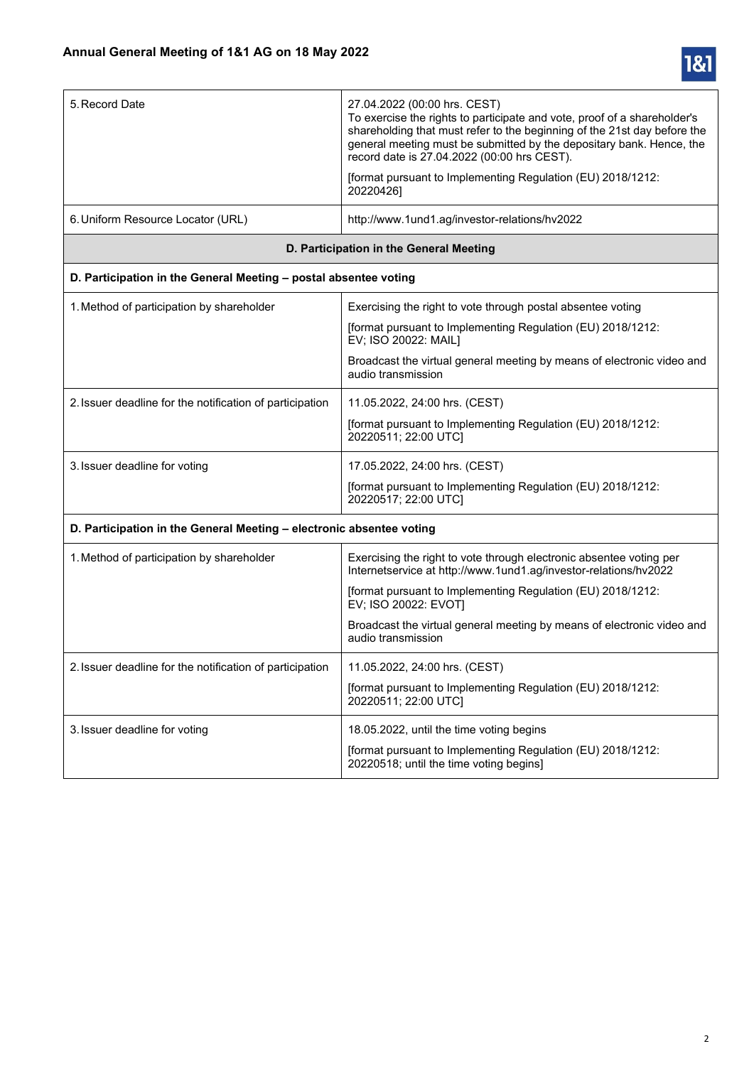

| 5. Record Date                                                       | 27.04.2022 (00:00 hrs. CEST)<br>To exercise the rights to participate and vote, proof of a shareholder's<br>shareholding that must refer to the beginning of the 21st day before the<br>general meeting must be submitted by the depositary bank. Hence, the<br>record date is 27.04.2022 (00:00 hrs CEST).<br>[format pursuant to Implementing Regulation (EU) 2018/1212:<br>20220426] |  |
|----------------------------------------------------------------------|-----------------------------------------------------------------------------------------------------------------------------------------------------------------------------------------------------------------------------------------------------------------------------------------------------------------------------------------------------------------------------------------|--|
| 6. Uniform Resource Locator (URL)                                    | http://www.1und1.ag/investor-relations/hv2022                                                                                                                                                                                                                                                                                                                                           |  |
|                                                                      | D. Participation in the General Meeting                                                                                                                                                                                                                                                                                                                                                 |  |
| D. Participation in the General Meeting - postal absentee voting     |                                                                                                                                                                                                                                                                                                                                                                                         |  |
| 1. Method of participation by shareholder                            | Exercising the right to vote through postal absentee voting                                                                                                                                                                                                                                                                                                                             |  |
|                                                                      | [format pursuant to Implementing Regulation (EU) 2018/1212:<br>EV; ISO 20022: MAIL]                                                                                                                                                                                                                                                                                                     |  |
|                                                                      | Broadcast the virtual general meeting by means of electronic video and<br>audio transmission                                                                                                                                                                                                                                                                                            |  |
| 2. Issuer deadline for the notification of participation             | 11.05.2022, 24:00 hrs. (CEST)                                                                                                                                                                                                                                                                                                                                                           |  |
|                                                                      | [format pursuant to Implementing Regulation (EU) 2018/1212:<br>20220511; 22:00 UTC]                                                                                                                                                                                                                                                                                                     |  |
| 3. Issuer deadline for voting                                        | 17.05.2022, 24:00 hrs. (CEST)                                                                                                                                                                                                                                                                                                                                                           |  |
|                                                                      | [format pursuant to Implementing Regulation (EU) 2018/1212:<br>20220517; 22:00 UTC]                                                                                                                                                                                                                                                                                                     |  |
| D. Participation in the General Meeting - electronic absentee voting |                                                                                                                                                                                                                                                                                                                                                                                         |  |
| 1. Method of participation by shareholder                            | Exercising the right to vote through electronic absentee voting per<br>Internetservice at http://www.1und1.ag/investor-relations/hv2022                                                                                                                                                                                                                                                 |  |
|                                                                      | [format pursuant to Implementing Regulation (EU) 2018/1212:<br>EV; ISO 20022: EVOT]                                                                                                                                                                                                                                                                                                     |  |
|                                                                      | Broadcast the virtual general meeting by means of electronic video and<br>audio transmission                                                                                                                                                                                                                                                                                            |  |
| 2. Issuer deadline for the notification of participation             | 11.05.2022, 24:00 hrs. (CEST)                                                                                                                                                                                                                                                                                                                                                           |  |
|                                                                      | [format pursuant to Implementing Regulation (EU) 2018/1212:<br>20220511; 22:00 UTC]                                                                                                                                                                                                                                                                                                     |  |
| 3. Issuer deadline for voting                                        | 18.05.2022, until the time voting begins                                                                                                                                                                                                                                                                                                                                                |  |
|                                                                      | [format pursuant to Implementing Regulation (EU) 2018/1212:<br>20220518; until the time voting begins]                                                                                                                                                                                                                                                                                  |  |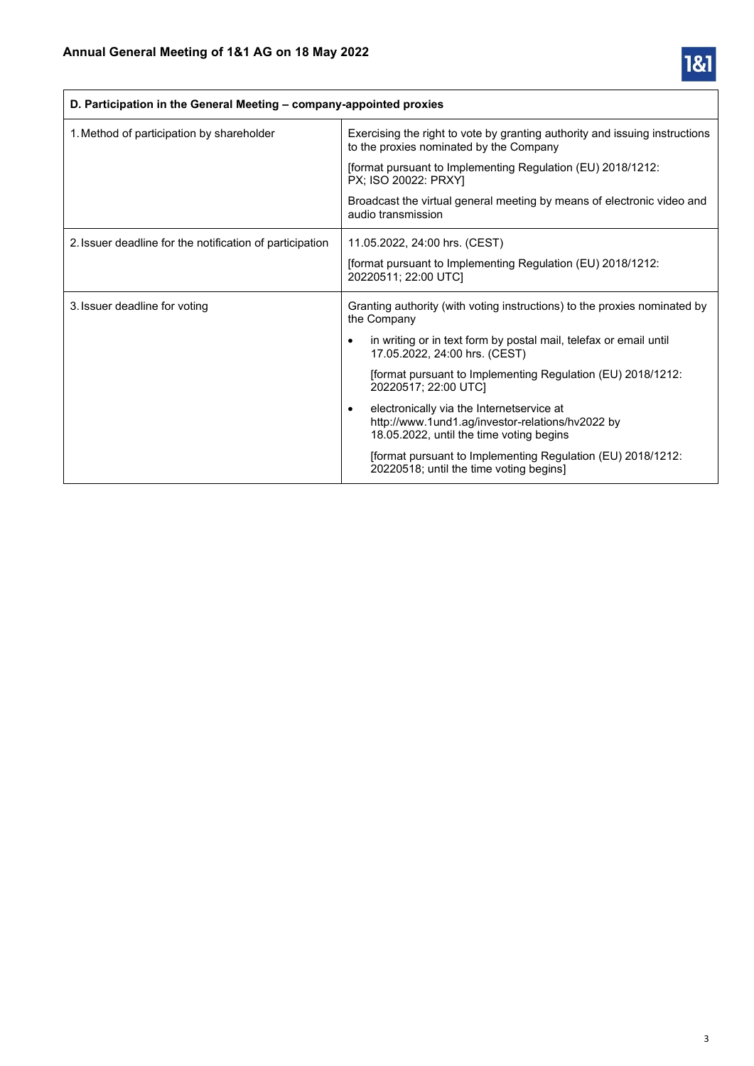

| D. Participation in the General Meeting – company-appointed proxies |                                                                                                                                                        |
|---------------------------------------------------------------------|--------------------------------------------------------------------------------------------------------------------------------------------------------|
| 1. Method of participation by shareholder                           | Exercising the right to vote by granting authority and issuing instructions<br>to the proxies nominated by the Company                                 |
|                                                                     | [format pursuant to Implementing Regulation (EU) 2018/1212:<br>PX; ISO 20022: PRXY]                                                                    |
|                                                                     | Broadcast the virtual general meeting by means of electronic video and<br>audio transmission                                                           |
| 2. Issuer deadline for the notification of participation            | 11.05.2022, 24:00 hrs. (CEST)                                                                                                                          |
|                                                                     | [format pursuant to Implementing Regulation (EU) 2018/1212:<br>20220511; 22:00 UTC]                                                                    |
| 3. Issuer deadline for voting                                       | Granting authority (with voting instructions) to the proxies nominated by<br>the Company                                                               |
|                                                                     | in writing or in text form by postal mail, telefax or email until<br>$\bullet$<br>17.05.2022, 24:00 hrs. (CEST)                                        |
|                                                                     | [format pursuant to Implementing Regulation (EU) 2018/1212:<br>20220517; 22:00 UTC]                                                                    |
|                                                                     | electronically via the Internetservice at<br>$\bullet$<br>http://www.1und1.ag/investor-relations/hv2022 by<br>18.05.2022, until the time voting begins |
|                                                                     | [format pursuant to Implementing Regulation (EU) 2018/1212:<br>20220518; until the time voting begins]                                                 |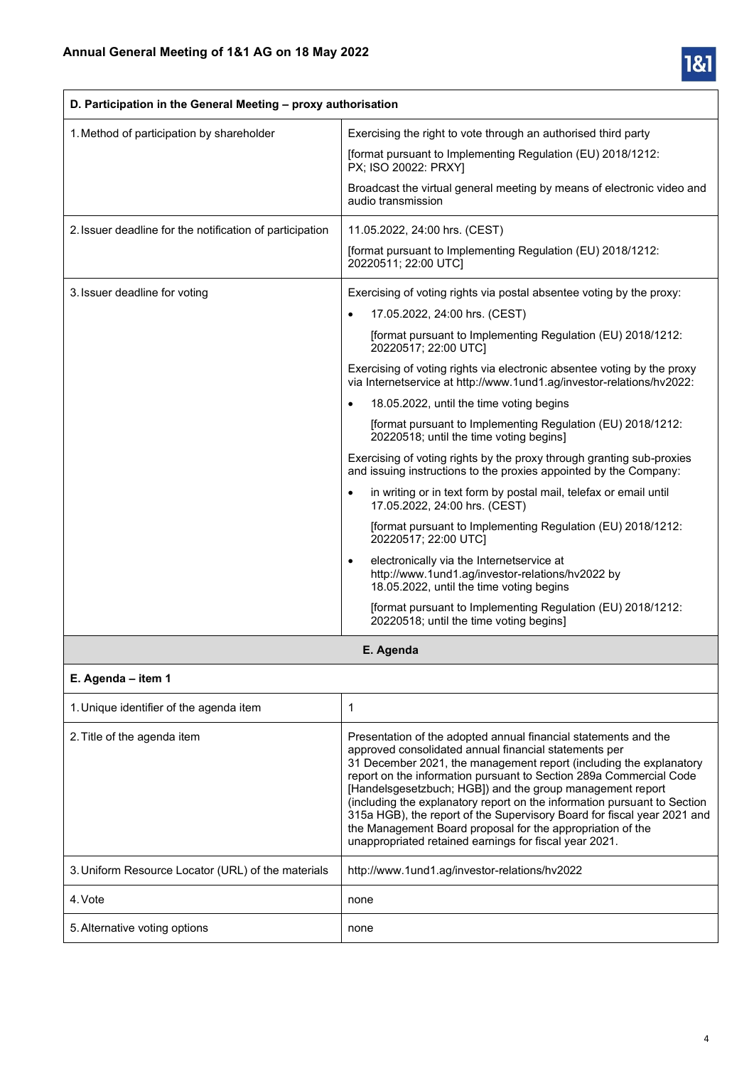

| D. Participation in the General Meeting - proxy authorisation |                                                                                                                                                                                                                                                                                                                                                                                                                                                                                                                                                                                                                  |
|---------------------------------------------------------------|------------------------------------------------------------------------------------------------------------------------------------------------------------------------------------------------------------------------------------------------------------------------------------------------------------------------------------------------------------------------------------------------------------------------------------------------------------------------------------------------------------------------------------------------------------------------------------------------------------------|
| 1. Method of participation by shareholder                     | Exercising the right to vote through an authorised third party                                                                                                                                                                                                                                                                                                                                                                                                                                                                                                                                                   |
|                                                               | [format pursuant to Implementing Regulation (EU) 2018/1212:<br>PX; ISO 20022: PRXY]                                                                                                                                                                                                                                                                                                                                                                                                                                                                                                                              |
|                                                               | Broadcast the virtual general meeting by means of electronic video and<br>audio transmission                                                                                                                                                                                                                                                                                                                                                                                                                                                                                                                     |
| 2. Issuer deadline for the notification of participation      | 11.05.2022, 24:00 hrs. (CEST)                                                                                                                                                                                                                                                                                                                                                                                                                                                                                                                                                                                    |
|                                                               | [format pursuant to Implementing Regulation (EU) 2018/1212:<br>20220511; 22:00 UTC]                                                                                                                                                                                                                                                                                                                                                                                                                                                                                                                              |
| 3. Issuer deadline for voting                                 | Exercising of voting rights via postal absentee voting by the proxy:                                                                                                                                                                                                                                                                                                                                                                                                                                                                                                                                             |
|                                                               | 17.05.2022, 24:00 hrs. (CEST)<br>$\bullet$                                                                                                                                                                                                                                                                                                                                                                                                                                                                                                                                                                       |
|                                                               | [format pursuant to Implementing Regulation (EU) 2018/1212:<br>20220517; 22:00 UTC]                                                                                                                                                                                                                                                                                                                                                                                                                                                                                                                              |
|                                                               | Exercising of voting rights via electronic absentee voting by the proxy<br>via Internetservice at http://www.1und1.ag/investor-relations/hv2022:                                                                                                                                                                                                                                                                                                                                                                                                                                                                 |
|                                                               | 18.05.2022, until the time voting begins<br>$\bullet$                                                                                                                                                                                                                                                                                                                                                                                                                                                                                                                                                            |
|                                                               | [format pursuant to Implementing Regulation (EU) 2018/1212:<br>20220518; until the time voting begins]                                                                                                                                                                                                                                                                                                                                                                                                                                                                                                           |
|                                                               | Exercising of voting rights by the proxy through granting sub-proxies<br>and issuing instructions to the proxies appointed by the Company:                                                                                                                                                                                                                                                                                                                                                                                                                                                                       |
|                                                               | in writing or in text form by postal mail, telefax or email until<br>$\bullet$<br>17.05.2022, 24:00 hrs. (CEST)                                                                                                                                                                                                                                                                                                                                                                                                                                                                                                  |
|                                                               | [format pursuant to Implementing Regulation (EU) 2018/1212:<br>20220517; 22:00 UTC]                                                                                                                                                                                                                                                                                                                                                                                                                                                                                                                              |
|                                                               | electronically via the Internetservice at<br>$\bullet$<br>http://www.1und1.ag/investor-relations/hv2022 by<br>18.05.2022, until the time voting begins                                                                                                                                                                                                                                                                                                                                                                                                                                                           |
|                                                               | [format pursuant to Implementing Regulation (EU) 2018/1212:<br>20220518; until the time voting begins]                                                                                                                                                                                                                                                                                                                                                                                                                                                                                                           |
|                                                               | E. Agenda                                                                                                                                                                                                                                                                                                                                                                                                                                                                                                                                                                                                        |
| E. Agenda - item 1                                            |                                                                                                                                                                                                                                                                                                                                                                                                                                                                                                                                                                                                                  |
| 1. Unique identifier of the agenda item                       | 1                                                                                                                                                                                                                                                                                                                                                                                                                                                                                                                                                                                                                |
| 2. Title of the agenda item                                   | Presentation of the adopted annual financial statements and the<br>approved consolidated annual financial statements per<br>31 December 2021, the management report (including the explanatory<br>report on the information pursuant to Section 289a Commercial Code<br>[Handelsgesetzbuch; HGB]) and the group management report<br>(including the explanatory report on the information pursuant to Section<br>315a HGB), the report of the Supervisory Board for fiscal year 2021 and<br>the Management Board proposal for the appropriation of the<br>unappropriated retained earnings for fiscal year 2021. |

| 3. Uniform Resource Locator (URL) of the materials | http://www.1und1.ag/investor-relations/hv2022 |
|----------------------------------------------------|-----------------------------------------------|
| 4. Vote                                            | none                                          |
| 5. Alternative voting options                      | none                                          |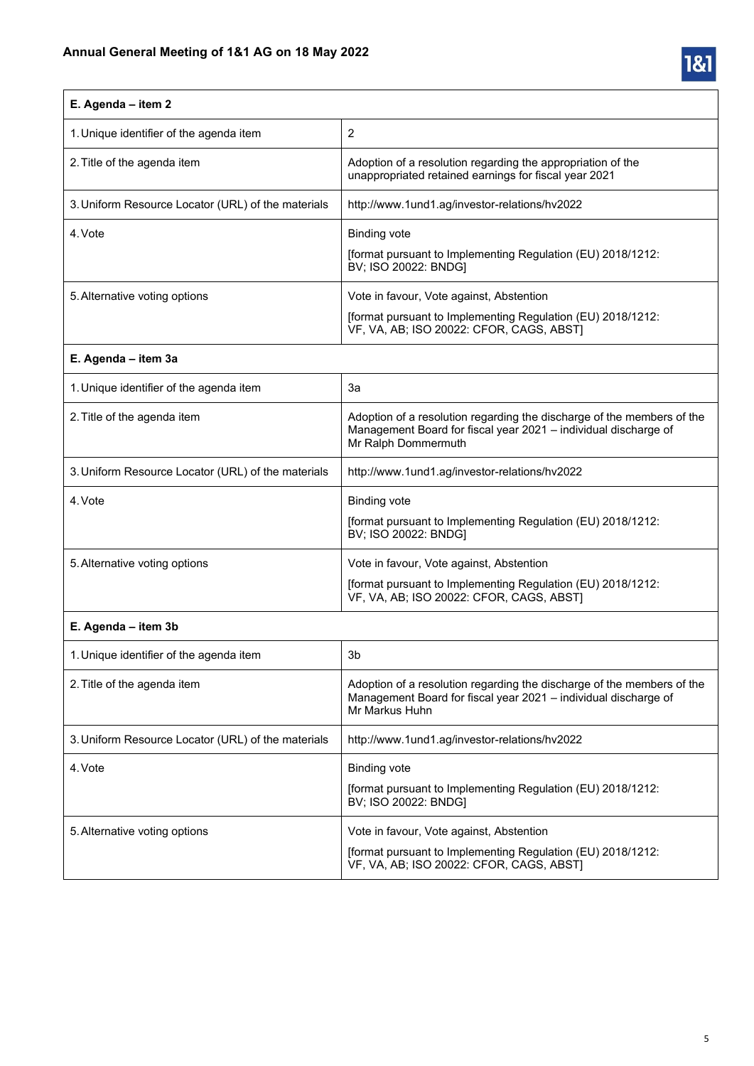

# **E. Agenda – item 2**

| 1. Unique identifier of the agenda item            | 2                                                                                                                                                   |
|----------------------------------------------------|-----------------------------------------------------------------------------------------------------------------------------------------------------|
| 2. Title of the agenda item                        | Adoption of a resolution regarding the appropriation of the<br>unappropriated retained earnings for fiscal year 2021                                |
| 3. Uniform Resource Locator (URL) of the materials | http://www.1und1.aq/investor-relations/hv2022                                                                                                       |
| 4. Vote                                            | <b>Binding vote</b><br>[format pursuant to Implementing Regulation (EU) 2018/1212:<br>BV; ISO 20022: BNDG]                                          |
| 5. Alternative voting options                      | Vote in favour, Vote against, Abstention<br>[format pursuant to Implementing Regulation (EU) 2018/1212:<br>VF, VA, AB; ISO 20022: CFOR, CAGS, ABST] |

### **E. Agenda – item 3a**

| 1. Unique identifier of the agenda item            | 3a                                                                                                                                                               |
|----------------------------------------------------|------------------------------------------------------------------------------------------------------------------------------------------------------------------|
| 2. Title of the agenda item                        | Adoption of a resolution regarding the discharge of the members of the<br>Management Board for fiscal year 2021 - individual discharge of<br>Mr Ralph Dommermuth |
| 3. Uniform Resource Locator (URL) of the materials | http://www.1und1.aq/investor-relations/hy2022                                                                                                                    |
| 4. Vote                                            | <b>Binding vote</b><br>[format pursuant to Implementing Regulation (EU) 2018/1212:<br>BV; ISO 20022: BNDG]                                                       |
| 5. Alternative voting options                      | Vote in favour, Vote against, Abstention<br>[format pursuant to Implementing Regulation (EU) 2018/1212:<br>VF, VA, AB; ISO 20022: CFOR, CAGS, ABST)              |

### **E. Agenda – item 3b**

| 1. Unique identifier of the agenda item            | 3b                                                                                                                                                          |
|----------------------------------------------------|-------------------------------------------------------------------------------------------------------------------------------------------------------------|
| 2. Title of the agenda item                        | Adoption of a resolution regarding the discharge of the members of the<br>Management Board for fiscal year 2021 - individual discharge of<br>Mr Markus Huhn |
| 3. Uniform Resource Locator (URL) of the materials | http://www.1und1.aq/investor-relations/hy2022                                                                                                               |
| 4. Vote                                            | Binding vote<br>[format pursuant to Implementing Regulation (EU) 2018/1212:<br>BV; ISO 20022: BNDG]                                                         |
| 5. Alternative voting options                      | Vote in favour, Vote against, Abstention<br>[format pursuant to Implementing Regulation (EU) 2018/1212:<br>VF, VA, AB; ISO 20022: CFOR, CAGS, ABST]         |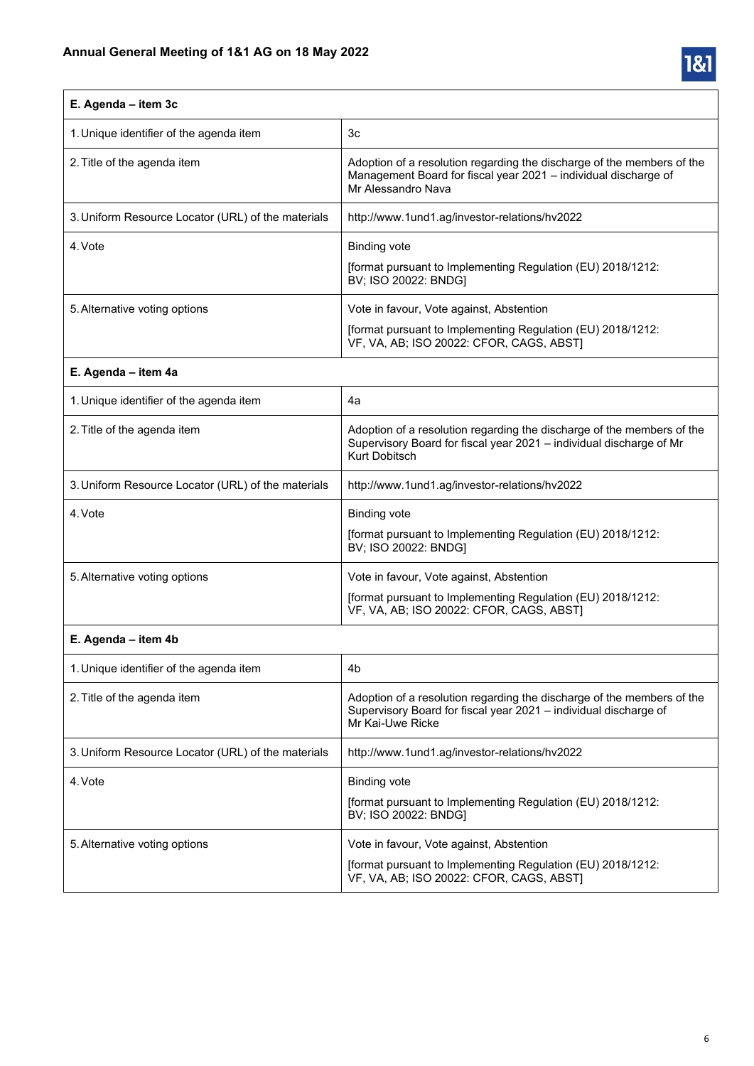

| E. Agenda - item 3c                                |                                                                                                                                                                 |
|----------------------------------------------------|-----------------------------------------------------------------------------------------------------------------------------------------------------------------|
| 1. Unique identifier of the agenda item            | 3c                                                                                                                                                              |
| 2. Title of the agenda item                        | Adoption of a resolution regarding the discharge of the members of the<br>Management Board for fiscal year 2021 - individual discharge of<br>Mr Alessandro Nava |
| 3. Uniform Resource Locator (URL) of the materials | http://www.1und1.ag/investor-relations/hv2022                                                                                                                   |
| 4. Vote                                            | <b>Binding vote</b><br>[format pursuant to Implementing Regulation (EU) 2018/1212:<br>BV; ISO 20022: BNDG]                                                      |
| 5. Alternative voting options                      | Vote in favour, Vote against, Abstention<br>[format pursuant to Implementing Regulation (EU) 2018/1212:<br>VF, VA, AB; ISO 20022: CFOR, CAGS, ABST)             |
| E. Agenda - item 4a                                |                                                                                                                                                                 |
| 1. Unique identifier of the agenda item            | 4a                                                                                                                                                              |
| 2. Title of the agenda item                        | Adoption of a resolution regarding the discharge of the members of the<br>Supervisory Board for fiscal year 2021 - individual discharge of Mr<br>Kurt Dobitsch  |
| 3. Uniform Resource Locator (URL) of the materials | http://www.1und1.ag/investor-relations/hv2022                                                                                                                   |
| 4. Vote                                            | <b>Binding vote</b><br>[format pursuant to Implementing Regulation (EU) 2018/1212:<br>BV; ISO 20022: BNDG]                                                      |
| 5. Alternative voting options                      | Vote in favour, Vote against, Abstention<br>[format pursuant to Implementing Regulation (EU) 2018/1212:<br>VF, VA, AB; ISO 20022: CFOR, CAGS, ABST]             |
| E. Agenda - item 4b                                |                                                                                                                                                                 |

| 1. Unique identifier of the agenda item            | 4b                                                                                                                                                             |
|----------------------------------------------------|----------------------------------------------------------------------------------------------------------------------------------------------------------------|
| 2. Title of the agenda item                        | Adoption of a resolution regarding the discharge of the members of the<br>Supervisory Board for fiscal year 2021 – individual discharge of<br>Mr Kai-Uwe Ricke |
| 3. Uniform Resource Locator (URL) of the materials | http://www.1und1.ag/investor-relations/hv2022                                                                                                                  |
| 4. Vote                                            | Binding vote<br>[format pursuant to Implementing Regulation (EU) 2018/1212:<br>BV; ISO 20022: BNDG]                                                            |
| 5. Alternative voting options                      | Vote in favour, Vote against, Abstention<br>[format pursuant to Implementing Regulation (EU) 2018/1212:<br>VF, VA, AB; ISO 20022: CFOR, CAGS, ABSTI            |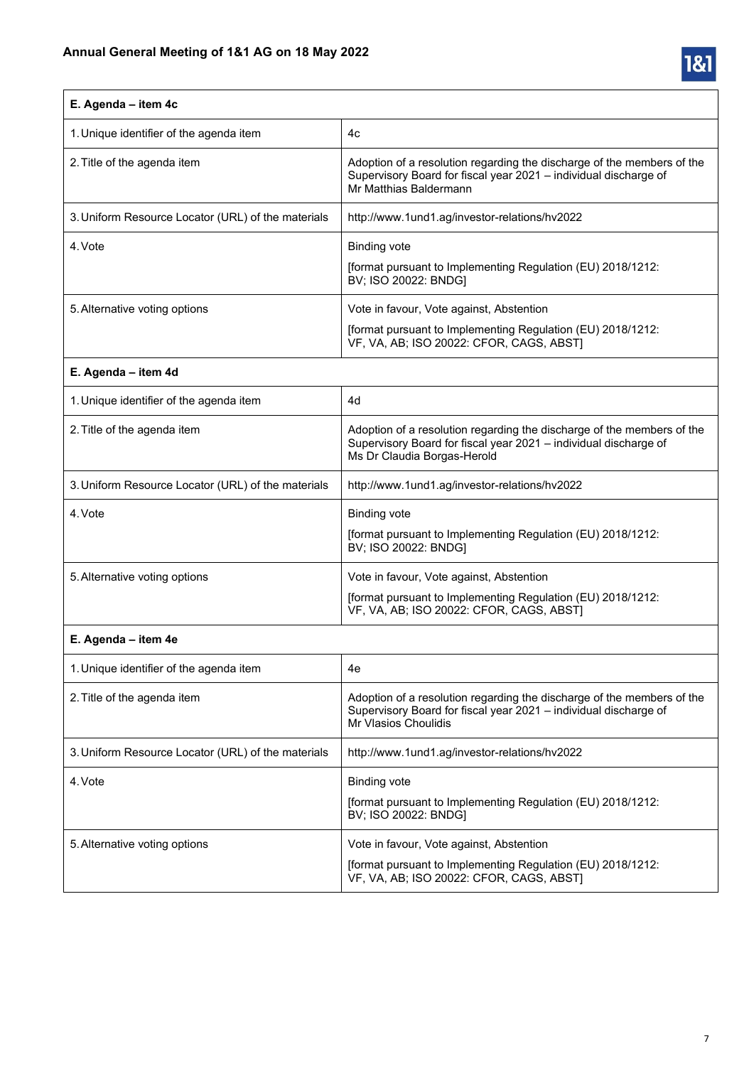

| E. Agenda - item 4c                                |                                                                                                                                                                           |
|----------------------------------------------------|---------------------------------------------------------------------------------------------------------------------------------------------------------------------------|
| 1. Unique identifier of the agenda item            | 4c                                                                                                                                                                        |
| 2. Title of the agenda item                        | Adoption of a resolution regarding the discharge of the members of the<br>Supervisory Board for fiscal year 2021 - individual discharge of<br>Mr Matthias Baldermann      |
| 3. Uniform Resource Locator (URL) of the materials | http://www.1und1.ag/investor-relations/hv2022                                                                                                                             |
| 4. Vote                                            | <b>Binding vote</b>                                                                                                                                                       |
|                                                    | [format pursuant to Implementing Regulation (EU) 2018/1212:<br>BV; ISO 20022: BNDG]                                                                                       |
| 5. Alternative voting options                      | Vote in favour, Vote against, Abstention                                                                                                                                  |
|                                                    | [format pursuant to Implementing Regulation (EU) 2018/1212:<br>VF, VA, AB; ISO 20022: CFOR, CAGS, ABST]                                                                   |
| E. Agenda - item 4d                                |                                                                                                                                                                           |
| 1. Unique identifier of the agenda item            | 4d                                                                                                                                                                        |
| 2. Title of the agenda item                        | Adoption of a resolution regarding the discharge of the members of the<br>Supervisory Board for fiscal year 2021 - individual discharge of<br>Ms Dr Claudia Borgas-Herold |
| 3. Uniform Resource Locator (URL) of the materials | http://www.1und1.ag/investor-relations/hv2022                                                                                                                             |
| 4. Vote                                            | <b>Binding vote</b>                                                                                                                                                       |
|                                                    | [format pursuant to Implementing Regulation (EU) 2018/1212:<br>BV; ISO 20022: BNDG]                                                                                       |
| 5. Alternative voting options                      | Vote in favour, Vote against, Abstention                                                                                                                                  |
|                                                    | [format pursuant to Implementing Regulation (EU) 2018/1212:<br>VF, VA, AB; ISO 20022: CFOR, CAGS, ABST]                                                                   |
| E. Agenda - item 4e                                |                                                                                                                                                                           |
| 1. Unique identifier of the agenda item            | 4e                                                                                                                                                                        |
| 2. Title of the agenda item                        | Adoption of a resolution regarding the discharge of the members of the                                                                                                    |

|                                                    | Supervisory Board for fiscal year 2021 - individual discharge of<br>Mr Vlasios Choulidis                                                            |
|----------------------------------------------------|-----------------------------------------------------------------------------------------------------------------------------------------------------|
| 3. Uniform Resource Locator (URL) of the materials | http://www.1und1.ag/investor-relations/hv2022                                                                                                       |
| 4. Vote                                            | Binding vote<br>[format pursuant to Implementing Regulation (EU) 2018/1212:<br>BV; ISO 20022: BNDGI                                                 |
| 5. Alternative voting options                      | Vote in favour, Vote against, Abstention<br>[format pursuant to Implementing Regulation (EU) 2018/1212:<br>VF, VA, AB; ISO 20022: CFOR, CAGS, ABST) |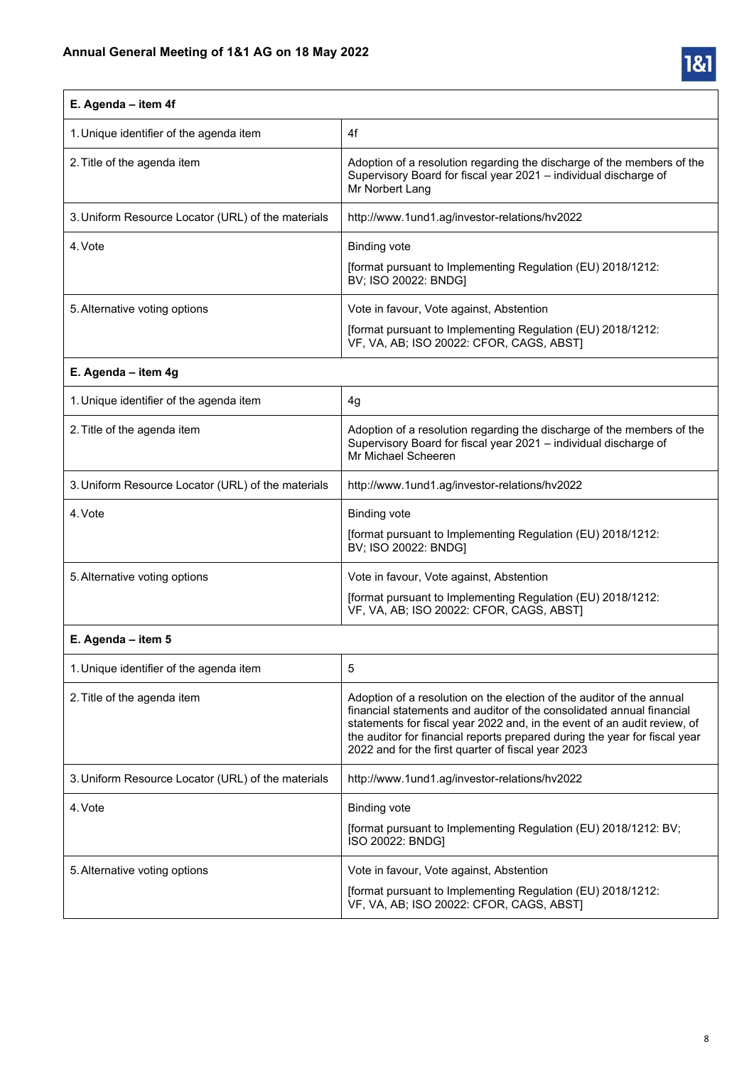

| E. Agenda - item 4f                                |                                                                                                                                                                                                                                                                                                                                                                |  |
|----------------------------------------------------|----------------------------------------------------------------------------------------------------------------------------------------------------------------------------------------------------------------------------------------------------------------------------------------------------------------------------------------------------------------|--|
| 1. Unique identifier of the agenda item            | 4f                                                                                                                                                                                                                                                                                                                                                             |  |
| 2. Title of the agenda item                        | Adoption of a resolution regarding the discharge of the members of the<br>Supervisory Board for fiscal year 2021 - individual discharge of<br>Mr Norbert Lang                                                                                                                                                                                                  |  |
| 3. Uniform Resource Locator (URL) of the materials | http://www.1und1.ag/investor-relations/hv2022                                                                                                                                                                                                                                                                                                                  |  |
| 4. Vote                                            | <b>Binding vote</b>                                                                                                                                                                                                                                                                                                                                            |  |
|                                                    | [format pursuant to Implementing Regulation (EU) 2018/1212:<br>BV; ISO 20022: BNDG]                                                                                                                                                                                                                                                                            |  |
| 5. Alternative voting options                      | Vote in favour, Vote against, Abstention                                                                                                                                                                                                                                                                                                                       |  |
|                                                    | [format pursuant to Implementing Regulation (EU) 2018/1212:<br>VF, VA, AB; ISO 20022: CFOR, CAGS, ABST]                                                                                                                                                                                                                                                        |  |
| E. Agenda - item 4g                                |                                                                                                                                                                                                                                                                                                                                                                |  |
| 1. Unique identifier of the agenda item            | 4g                                                                                                                                                                                                                                                                                                                                                             |  |
| 2. Title of the agenda item                        | Adoption of a resolution regarding the discharge of the members of the<br>Supervisory Board for fiscal year 2021 - individual discharge of<br>Mr Michael Scheeren                                                                                                                                                                                              |  |
| 3. Uniform Resource Locator (URL) of the materials | http://www.1und1.ag/investor-relations/hv2022                                                                                                                                                                                                                                                                                                                  |  |
| 4. Vote                                            | <b>Binding vote</b>                                                                                                                                                                                                                                                                                                                                            |  |
|                                                    | [format pursuant to Implementing Regulation (EU) 2018/1212:<br>BV; ISO 20022: BNDG]                                                                                                                                                                                                                                                                            |  |
| 5. Alternative voting options                      | Vote in favour, Vote against, Abstention                                                                                                                                                                                                                                                                                                                       |  |
|                                                    | [format pursuant to Implementing Regulation (EU) 2018/1212:<br>VF, VA, AB; ISO 20022: CFOR, CAGS, ABST]                                                                                                                                                                                                                                                        |  |
| E. Agenda - item 5                                 |                                                                                                                                                                                                                                                                                                                                                                |  |
| 1. Unique identifier of the agenda item            | 5                                                                                                                                                                                                                                                                                                                                                              |  |
| 2. Title of the agenda item                        | Adoption of a resolution on the election of the auditor of the annual<br>financial statements and auditor of the consolidated annual financial<br>statements for fiscal year 2022 and, in the event of an audit review, of<br>the auditor for financial reports prepared during the year for fiscal year<br>2022 and for the first quarter of fiscal year 2023 |  |
| 3. Uniform Resource Locator (URL) of the materials | http://www.1und1.ag/investor-relations/hv2022                                                                                                                                                                                                                                                                                                                  |  |
| 4. Vote                                            | <b>Binding vote</b>                                                                                                                                                                                                                                                                                                                                            |  |
|                                                    | [format pursuant to Implementing Regulation (EU) 2018/1212: BV;<br>ISO 20022: BNDG]                                                                                                                                                                                                                                                                            |  |
| 5. Alternative voting options                      | Vote in favour, Vote against, Abstention                                                                                                                                                                                                                                                                                                                       |  |
|                                                    | [format pursuant to Implementing Regulation (EU) 2018/1212:<br>VF, VA, AB; ISO 20022: CFOR, CAGS, ABST]                                                                                                                                                                                                                                                        |  |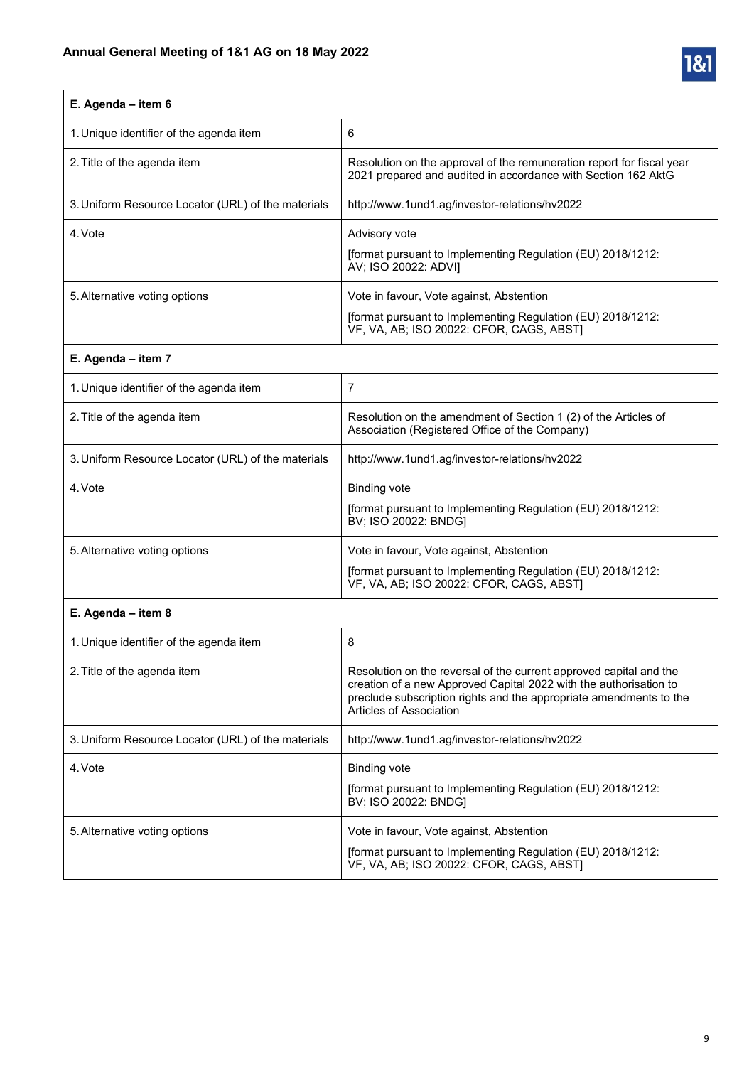

# **E. Agenda – item 6**

| 1. Unique identifier of the agenda item            | 6                                                                                                                                                   |
|----------------------------------------------------|-----------------------------------------------------------------------------------------------------------------------------------------------------|
| 2. Title of the agenda item                        | Resolution on the approval of the remuneration report for fiscal year<br>2021 prepared and audited in accordance with Section 162 AktG              |
| 3. Uniform Resource Locator (URL) of the materials | http://www.1und1.aq/investor-relations/hy2022                                                                                                       |
| 4. Vote                                            | Advisory vote<br>[format pursuant to Implementing Regulation (EU) 2018/1212:<br>AV; ISO 20022: ADVII                                                |
| 5. Alternative voting options                      | Vote in favour, Vote against, Abstention<br>[format pursuant to Implementing Regulation (EU) 2018/1212:<br>VF, VA, AB; ISO 20022: CFOR, CAGS, ABSTI |

### **E. Agenda – item 7**

| 1. Unique identifier of the agenda item            |                                                                                                                                                     |
|----------------------------------------------------|-----------------------------------------------------------------------------------------------------------------------------------------------------|
| 2. Title of the agenda item                        | Resolution on the amendment of Section 1 (2) of the Articles of<br>Association (Registered Office of the Company)                                   |
| 3. Uniform Resource Locator (URL) of the materials | http://www.1und1.aq/investor-relations/hv2022                                                                                                       |
| 4. Vote                                            | <b>Binding vote</b><br>[format pursuant to Implementing Regulation (EU) 2018/1212:<br>BV; ISO 20022: BNDG]                                          |
| 5. Alternative voting options                      | Vote in favour, Vote against, Abstention<br>[format pursuant to Implementing Regulation (EU) 2018/1212:<br>VF, VA, AB; ISO 20022: CFOR, CAGS, ABSTI |

### **E. Agenda – item 8**

| 1. Unique identifier of the agenda item            | 8                                                                                                                                                                                                                                        |
|----------------------------------------------------|------------------------------------------------------------------------------------------------------------------------------------------------------------------------------------------------------------------------------------------|
| 2. Title of the agenda item                        | Resolution on the reversal of the current approved capital and the<br>creation of a new Approved Capital 2022 with the authorisation to<br>preclude subscription rights and the appropriate amendments to the<br>Articles of Association |
| 3. Uniform Resource Locator (URL) of the materials | http://www.1und1.ag/investor-relations/hv2022                                                                                                                                                                                            |
| 4. Vote                                            | Binding vote<br>[format pursuant to Implementing Regulation (EU) 2018/1212:<br>BV; ISO 20022: BNDG]                                                                                                                                      |
| 5. Alternative voting options                      | Vote in favour, Vote against, Abstention<br>[format pursuant to Implementing Regulation (EU) 2018/1212:<br>VF, VA, AB; ISO 20022: CFOR, CAGS, ABST]                                                                                      |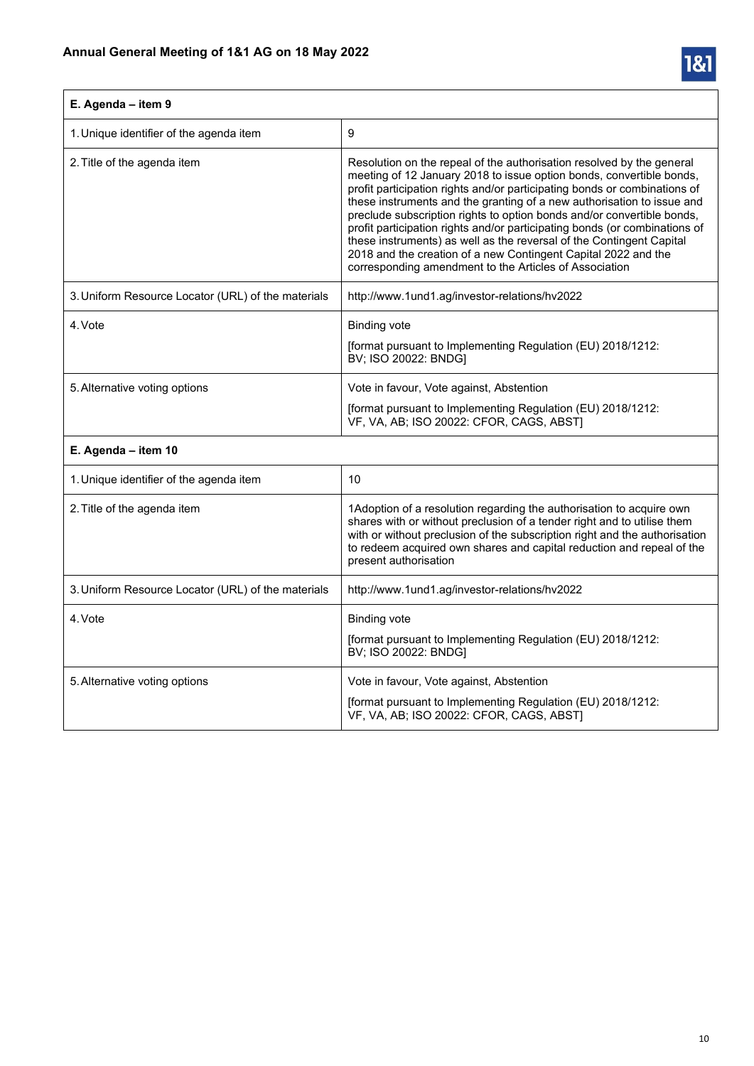

| E. Agenda - item 9                                 |                                                                                                                                                                                                                                                                                                                                                                                                                                                                                                                                                                                                                                                                  |
|----------------------------------------------------|------------------------------------------------------------------------------------------------------------------------------------------------------------------------------------------------------------------------------------------------------------------------------------------------------------------------------------------------------------------------------------------------------------------------------------------------------------------------------------------------------------------------------------------------------------------------------------------------------------------------------------------------------------------|
| 1. Unique identifier of the agenda item            | 9                                                                                                                                                                                                                                                                                                                                                                                                                                                                                                                                                                                                                                                                |
| 2. Title of the agenda item                        | Resolution on the repeal of the authorisation resolved by the general<br>meeting of 12 January 2018 to issue option bonds, convertible bonds,<br>profit participation rights and/or participating bonds or combinations of<br>these instruments and the granting of a new authorisation to issue and<br>preclude subscription rights to option bonds and/or convertible bonds,<br>profit participation rights and/or participating bonds (or combinations of<br>these instruments) as well as the reversal of the Contingent Capital<br>2018 and the creation of a new Contingent Capital 2022 and the<br>corresponding amendment to the Articles of Association |
| 3. Uniform Resource Locator (URL) of the materials | http://www.1und1.ag/investor-relations/hv2022                                                                                                                                                                                                                                                                                                                                                                                                                                                                                                                                                                                                                    |
| 4. Vote                                            | <b>Binding vote</b><br>[format pursuant to Implementing Regulation (EU) 2018/1212:<br>BV; ISO 20022: BNDG]                                                                                                                                                                                                                                                                                                                                                                                                                                                                                                                                                       |
| 5. Alternative voting options                      | Vote in favour, Vote against, Abstention                                                                                                                                                                                                                                                                                                                                                                                                                                                                                                                                                                                                                         |
|                                                    | [format pursuant to Implementing Regulation (EU) 2018/1212:<br>VF, VA, AB; ISO 20022: CFOR, CAGS, ABST)                                                                                                                                                                                                                                                                                                                                                                                                                                                                                                                                                          |
| E. Agenda - item 10                                |                                                                                                                                                                                                                                                                                                                                                                                                                                                                                                                                                                                                                                                                  |
| 1. Unique identifier of the agenda item            | 10                                                                                                                                                                                                                                                                                                                                                                                                                                                                                                                                                                                                                                                               |
| 2. Title of the agenda item                        | 1Adoption of a resolution regarding the authorisation to acquire own<br>shares with or without preclusion of a tender right and to utilise them<br>with or without preclusion of the subscription right and the authorisation<br>to redeem acquired own shares and capital reduction and repeal of the<br>present authorisation                                                                                                                                                                                                                                                                                                                                  |
| 3. Uniform Resource Locator (URL) of the materials | http://www.1und1.ag/investor-relations/hv2022                                                                                                                                                                                                                                                                                                                                                                                                                                                                                                                                                                                                                    |
| 4. Vote                                            | <b>Binding vote</b><br>[format pursuant to Implementing Regulation (EU) 2018/1212:<br>BV; ISO 20022: BNDG]                                                                                                                                                                                                                                                                                                                                                                                                                                                                                                                                                       |
| 5. Alternative voting options                      | Vote in favour, Vote against, Abstention<br>[format pursuant to Implementing Regulation (EU) 2018/1212:<br>VF, VA, AB; ISO 20022: CFOR, CAGS, ABST]                                                                                                                                                                                                                                                                                                                                                                                                                                                                                                              |